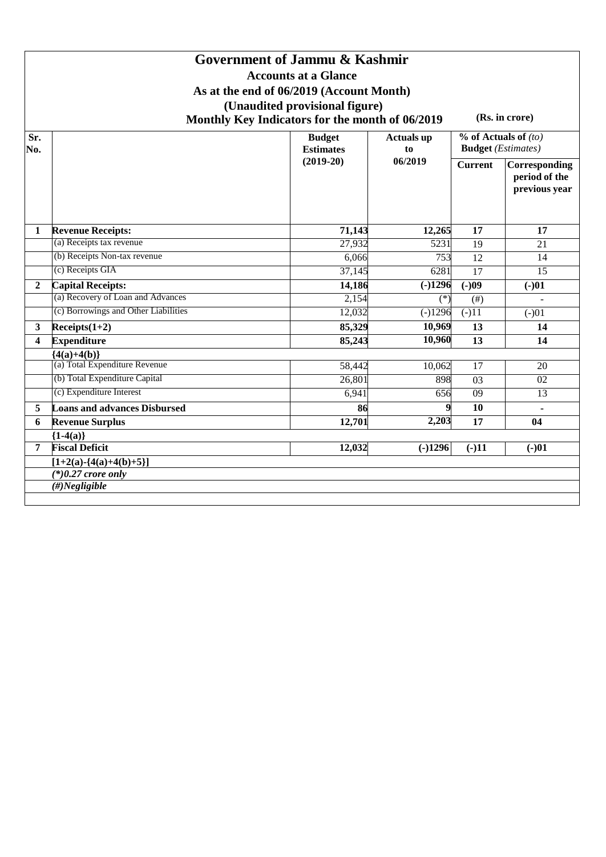## **Government of Jammu & Kashmir Accounts at a Glance As at the end of 06/2019 (Account Month) (Unaudited provisional figure) Monthly Key Indicators for the month of 06/2019 (Rs. in crore)**

**Sr. No. Budget Estimates (2019-20) Actuals up to 06/2019 % of Actuals of** *(to)* **Budget** *(Estimates)* **Current Corresponding period of the previous year 1 Revenue Receipts: 71,143 12,265 17 17** (a) Receipts tax revenue 27,932 5231 19 21 (b) Receipts Non-tax revenue 6,066 753 12 14 (c) Receipts GIA 37,145 6281 17 15 **2 Capital Receipts: 14,186 (-)1296 (-)09 (-)01** (a) Recovery of Loan and Advances 2,154  $(*)$  (#)  $+$ (c) Borrowings and Other Liabilities  $12,032$  (-) $1296$  (-) $11$  (-) $01$ **3 Receipts(1+2) 85,329 10,969 13 14 4 Expenditure 85,243 10,960 13 14 {4(a)+4(b)}**  $(a)$  Total Expenditure Revenue  $58,442$   $10,062$  17  $20$ (b) Total Expenditure Capital  $26,801$  898 03 02 (c) Expenditure Interest  $6,941$   $656$  09 13 **5 Loans and advances Disbursed 86 9 10 - 6 Revenue Surplus 12,701 2,203 17 04 {1-4(a)} 7 Fiscal Deficit 12,032 (-)1296 (-)11 (-)01**  $[1+2(a)-\{4(a)+4(b)+5\}]$ *(\*)0.27 crore only (#)Negligible*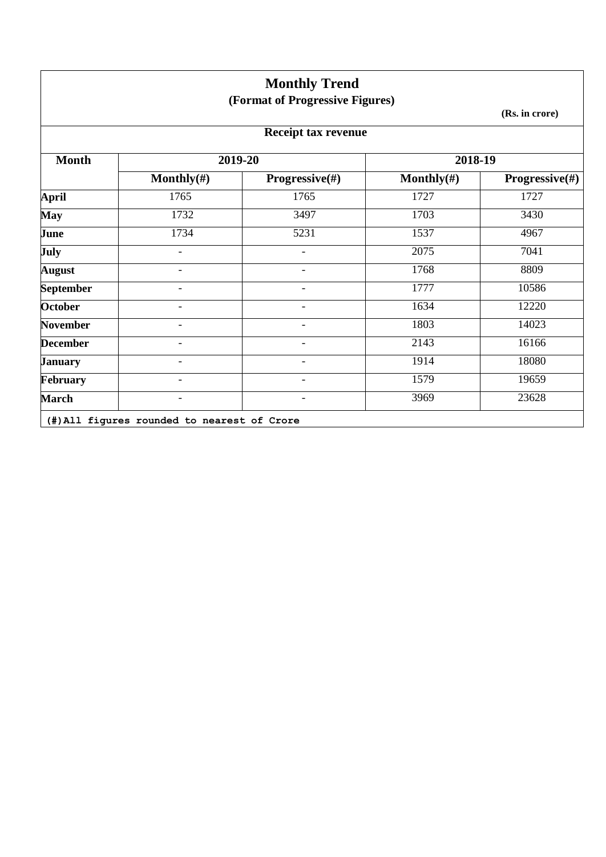|                  |                              | <b>Monthly Trend</b><br>(Format of Progressive Figures) |                |                           |
|------------------|------------------------------|---------------------------------------------------------|----------------|---------------------------|
|                  |                              |                                                         |                | (Rs. in crore)            |
|                  |                              | <b>Receipt tax revenue</b>                              |                |                           |
| <b>Month</b>     |                              | 2019-20                                                 | 2018-19        |                           |
|                  | Monthly $(\#)$               | <b>Progressive</b> $(\#)$                               | Monthly $(\#)$ | <b>Progressive</b> $(\#)$ |
| <b>April</b>     | 1765                         | 1765                                                    | 1727           | 1727                      |
| <b>May</b>       | 1732                         | 3497                                                    | 1703           | 3430                      |
| June             | 1734                         | 5231                                                    | 1537           | 4967                      |
| July             | $\overline{\phantom{a}}$     | $\overline{\phantom{a}}$                                | 2075           | 7041                      |
| <b>August</b>    |                              | $\overline{\phantom{a}}$                                | 1768           | 8809                      |
| <b>September</b> | $\overline{\phantom{0}}$     | $\blacksquare$                                          | 1777           | 10586                     |
| <b>October</b>   | $\overline{\phantom{a}}$     | $\overline{\phantom{a}}$                                | 1634           | 12220                     |
| <b>November</b>  | ۳                            | $\overline{\phantom{a}}$                                | 1803           | 14023                     |
| <b>December</b>  | $\qquad \qquad \blacksquare$ | $\overline{\phantom{a}}$                                | 2143           | 16166                     |
| <b>January</b>   |                              |                                                         | 1914           | 18080                     |
| <b>February</b>  | $\overline{\phantom{0}}$     | $\overline{\phantom{0}}$                                | 1579           | 19659                     |
| <b>March</b>     |                              |                                                         | 3969           | 23628                     |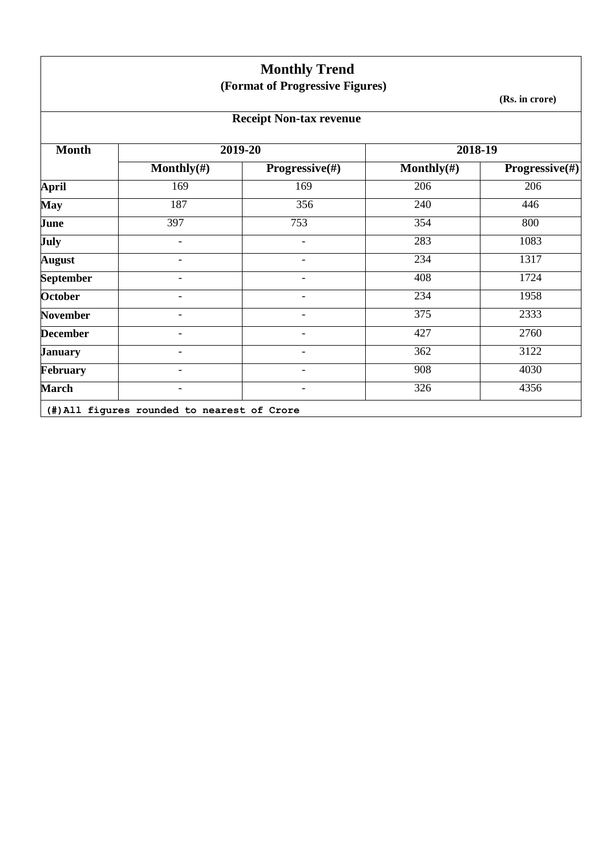|                  |                                             | <b>Monthly Trend</b><br>(Format of Progressive Figures) |                |                           |
|------------------|---------------------------------------------|---------------------------------------------------------|----------------|---------------------------|
|                  |                                             |                                                         |                | (Rs. in crore)            |
|                  |                                             | <b>Receipt Non-tax revenue</b>                          |                |                           |
| <b>Month</b>     |                                             | 2019-20                                                 | 2018-19        |                           |
|                  | Monthly $(\#)$                              | <b>Progressive</b> $(\#)$                               | Monthly $(\#)$ | <b>Progressive</b> $(\#)$ |
| <b>April</b>     | 169                                         | 169                                                     | 206            | 206                       |
| <b>May</b>       | 187                                         | 356                                                     | 240            | 446                       |
| June             | 397                                         | 753                                                     | 354            | 800                       |
| <b>July</b>      | $\overline{\phantom{0}}$                    | $\overline{\phantom{a}}$                                | 283            | 1083                      |
| <b>August</b>    | $\overline{\phantom{0}}$                    | $\overline{\phantom{0}}$                                | 234            | 1317                      |
| <b>September</b> | ۳                                           | ۳                                                       | 408            | 1724                      |
| <b>October</b>   | $\overline{\phantom{0}}$                    | $\overline{\phantom{0}}$                                | 234            | 1958                      |
| <b>November</b>  | $\overline{\phantom{0}}$                    | $\overline{\phantom{0}}$                                | 375            | 2333                      |
| <b>December</b>  | $\overline{\phantom{0}}$                    | $\overline{\phantom{0}}$                                | 427            | 2760                      |
| <b>January</b>   |                                             |                                                         | 362            | 3122                      |
| February         |                                             |                                                         | 908            | 4030                      |
| <b>March</b>     |                                             |                                                         | 326            | 4356                      |
|                  | (#) All figures rounded to nearest of Crore |                                                         |                |                           |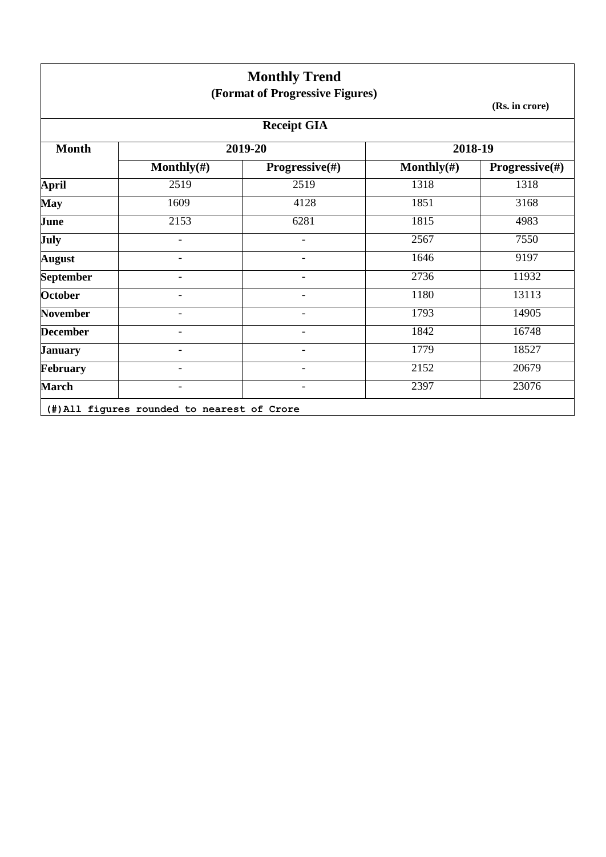|                  |                | <b>Monthly Trend</b><br>(Format of Progressive Figures) |                |                           |
|------------------|----------------|---------------------------------------------------------|----------------|---------------------------|
|                  |                |                                                         |                | (Rs. in crore)            |
|                  |                | <b>Receipt GIA</b>                                      |                |                           |
| <b>Month</b>     |                | 2019-20                                                 | 2018-19        |                           |
|                  | Monthly $(\#)$ | Progressive(#)                                          | Monthly $(\#)$ | <b>Progressive</b> $(\#)$ |
| <b>April</b>     | 2519           | 2519                                                    | 1318           | 1318                      |
| <b>May</b>       | 1609           | 4128                                                    | 1851           | 3168                      |
| June             | 2153           | 6281                                                    | 1815           | 4983                      |
| July             |                |                                                         | 2567           | 7550                      |
| <b>August</b>    |                | -                                                       | 1646           | 9197                      |
| <b>September</b> |                | $\overline{a}$                                          | 2736           | 11932                     |
| <b>October</b>   |                | $\overline{\phantom{0}}$                                | 1180           | 13113                     |
| <b>November</b>  |                |                                                         | 1793           | 14905                     |
| <b>December</b>  |                |                                                         | 1842           | 16748                     |
| <b>January</b>   |                |                                                         | 1779           | 18527                     |
| February         |                |                                                         | 2152           | 20679                     |
| <b>March</b>     |                |                                                         | 2397           | 23076                     |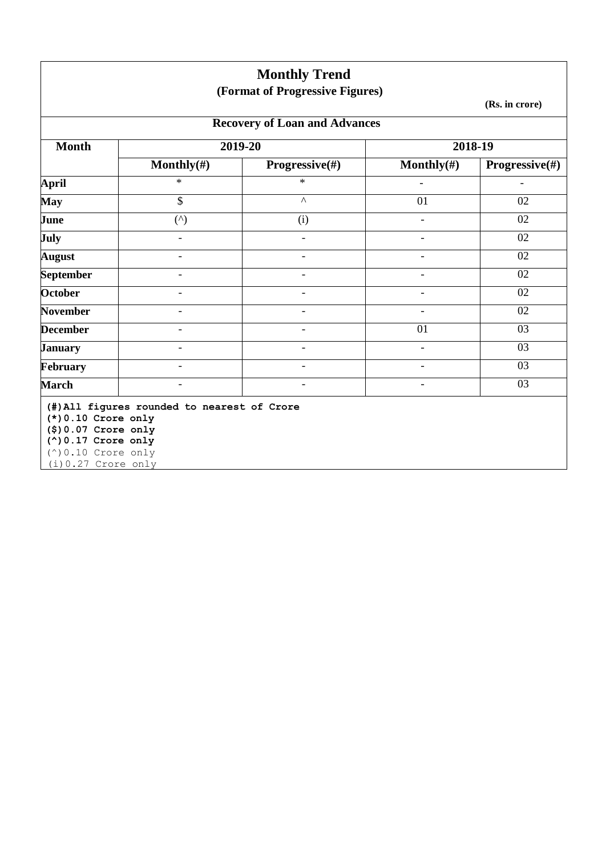|                                                                                                                                        |                                             | <b>Monthly Trend</b><br>(Format of Progressive Figures) |                          |                          |  |  |  |
|----------------------------------------------------------------------------------------------------------------------------------------|---------------------------------------------|---------------------------------------------------------|--------------------------|--------------------------|--|--|--|
|                                                                                                                                        |                                             |                                                         |                          | (Rs. in crore)           |  |  |  |
|                                                                                                                                        | <b>Recovery of Loan and Advances</b>        |                                                         |                          |                          |  |  |  |
| <b>Month</b>                                                                                                                           | 2019-20                                     |                                                         |                          | 2018-19                  |  |  |  |
|                                                                                                                                        | Monthly $(\#)$                              | Progressive(#)                                          | Monthly $(\#)$           | Progressive(#)           |  |  |  |
| <b>April</b>                                                                                                                           | $\ast$                                      | $\ast$                                                  |                          | $\overline{\phantom{0}}$ |  |  |  |
| <b>May</b>                                                                                                                             | \$                                          | $\boldsymbol{\wedge}$                                   | 01                       | 02                       |  |  |  |
| June                                                                                                                                   | $($ <sup><math>\wedge</math></sup> )        | (i)                                                     |                          | 02                       |  |  |  |
| <b>July</b>                                                                                                                            |                                             | $\overline{\phantom{a}}$                                | $\overline{\phantom{a}}$ | 02                       |  |  |  |
| <b>August</b>                                                                                                                          | $\overline{\phantom{0}}$                    | $\overline{a}$                                          | ٠                        | 02                       |  |  |  |
| <b>September</b>                                                                                                                       |                                             |                                                         |                          | 02                       |  |  |  |
| <b>October</b>                                                                                                                         | $\overline{\phantom{0}}$                    | $\blacksquare$                                          | $\overline{\phantom{0}}$ | 02                       |  |  |  |
| <b>November</b>                                                                                                                        |                                             |                                                         |                          | 02                       |  |  |  |
| <b>December</b>                                                                                                                        |                                             |                                                         | 01                       | 03                       |  |  |  |
| <b>January</b>                                                                                                                         | $\overline{\phantom{0}}$                    | $\overline{\phantom{0}}$                                | $\overline{\phantom{0}}$ | 03                       |  |  |  |
| February                                                                                                                               | $\overline{\phantom{0}}$                    | $\overline{\phantom{a}}$                                | $\overline{\phantom{a}}$ | 03                       |  |  |  |
| <b>March</b>                                                                                                                           |                                             |                                                         |                          | 03                       |  |  |  |
| $(*)0.10$ Crore only<br>$($ \$) 0.07 Crore only<br>$(^\wedge)$ 0.17 Crore only<br>$(^\wedge)$ 0.10 Crore only<br>$(i) 0.27$ Crore only | (#) All figures rounded to nearest of Crore |                                                         |                          |                          |  |  |  |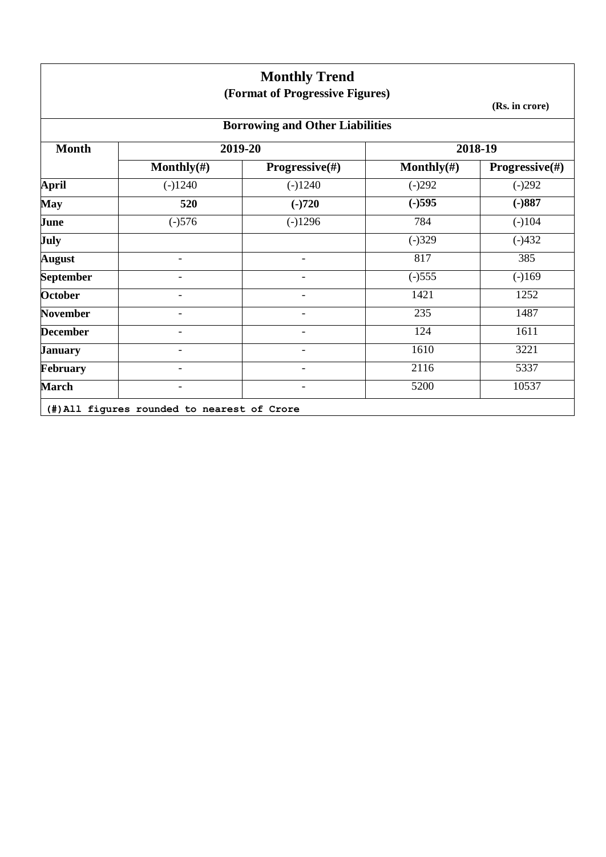|                  |                | <b>Monthly Trend</b><br>(Format of Progressive Figures) |                |                           |
|------------------|----------------|---------------------------------------------------------|----------------|---------------------------|
|                  |                |                                                         |                | (Rs. in crore)            |
|                  |                | <b>Borrowing and Other Liabilities</b>                  |                |                           |
| <b>Month</b>     |                | 2019-20                                                 |                | 2018-19                   |
|                  | Monthly $(\#)$ | Progressive(#)                                          | Monthly $(\#)$ | <b>Progressive</b> $(\#)$ |
| <b>April</b>     | $(-)1240$      | $(-)1240$                                               | $(-)292$       | $(-)292$                  |
| May              | 520            | $(-)720$                                                | $(-)595$       | $(-)887$                  |
| June             | $(-)576$       | $(-)1296$                                               | 784            | $(-)104$                  |
| July             |                |                                                         | $(-)329$       | $(-)432$                  |
| <b>August</b>    |                |                                                         | 817            | 385                       |
| <b>September</b> |                |                                                         | $(-)555$       | $(-)169$                  |
| <b>October</b>   |                |                                                         | 1421           | 1252                      |
| <b>November</b>  |                | $\overline{\phantom{0}}$                                | 235            | 1487                      |
| <b>December</b>  |                |                                                         | 124            | 1611                      |
| <b>January</b>   |                |                                                         | 1610           | 3221                      |
| February         |                |                                                         | 2116           | 5337                      |
| <b>March</b>     |                |                                                         | 5200           | 10537                     |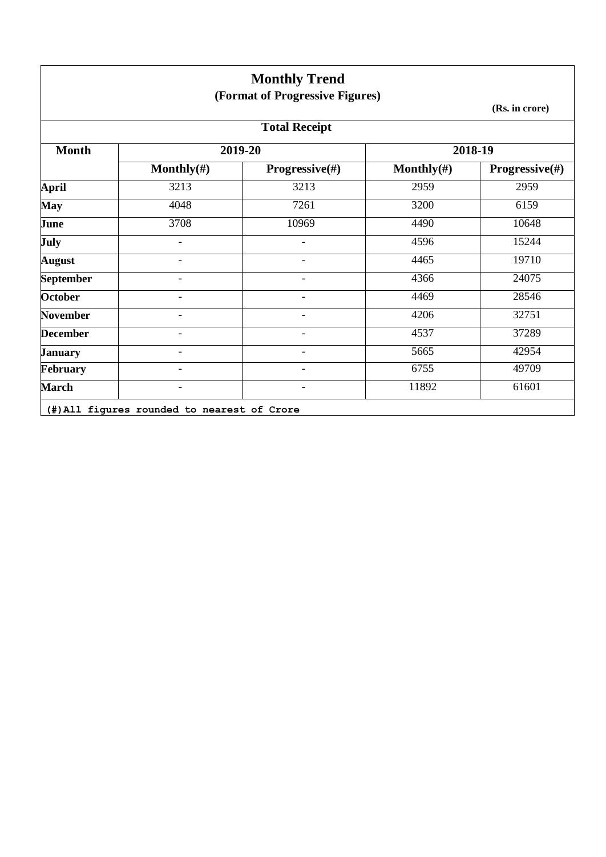|                  |                | <b>Monthly Trend</b><br>(Format of Progressive Figures) |                |                |
|------------------|----------------|---------------------------------------------------------|----------------|----------------|
|                  |                |                                                         |                | (Rs. in crore) |
|                  |                | <b>Total Receipt</b>                                    |                |                |
| <b>Month</b>     |                | 2019-20                                                 |                | 2018-19        |
|                  | Monthly $(\#)$ | <b>Progressive</b> $(\#)$                               | Monthly $(\#)$ | Progressive(#) |
| <b>April</b>     | 3213           | 3213                                                    | 2959           | 2959           |
| <b>May</b>       | 4048           | 7261                                                    | 3200           | 6159           |
| June             | 3708           | 10969                                                   | 4490           | 10648          |
| July             |                |                                                         | 4596           | 15244          |
| <b>August</b>    |                |                                                         | 4465           | 19710          |
| <b>September</b> |                |                                                         | 4366           | 24075          |
| <b>October</b>   |                | $\overline{\phantom{0}}$                                | 4469           | 28546          |
| <b>November</b>  |                | $\overline{\phantom{0}}$                                | 4206           | 32751          |
| <b>December</b>  |                | $\overline{a}$                                          | 4537           | 37289          |
| <b>January</b>   |                | $\overline{\phantom{0}}$                                | 5665           | 42954          |
| February         |                |                                                         | 6755           | 49709          |
| <b>March</b>     |                |                                                         | 11892          | 61601          |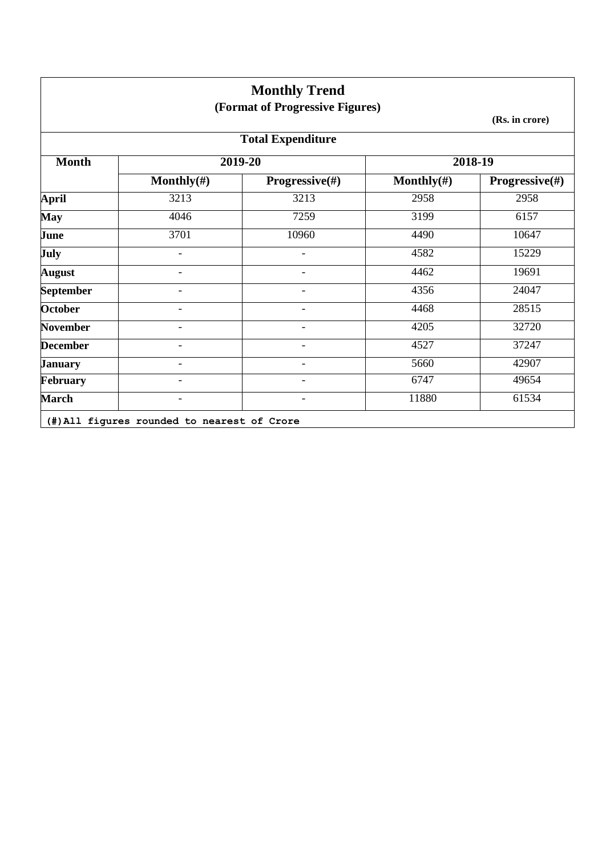|                  |                                             | <b>Monthly Trend</b>            |                |                           |
|------------------|---------------------------------------------|---------------------------------|----------------|---------------------------|
|                  |                                             | (Format of Progressive Figures) |                | (Rs. in crore)            |
|                  |                                             | <b>Total Expenditure</b>        |                |                           |
| <b>Month</b>     |                                             | 2019-20                         |                | 2018-19                   |
|                  | Monthly $(\#)$                              | <b>Progressive</b> $(\#)$       | Monthly $(\#)$ | <b>Progressive</b> $(\#)$ |
| <b>April</b>     | 3213                                        | 3213                            | 2958           | 2958                      |
| <b>May</b>       | 4046                                        | 7259                            | 3199           | 6157                      |
| June             | 3701                                        | 10960                           | 4490           | 10647                     |
| July             |                                             |                                 | 4582           | 15229                     |
| <b>August</b>    |                                             |                                 | 4462           | 19691                     |
| <b>September</b> |                                             |                                 | 4356           | 24047                     |
| <b>October</b>   |                                             |                                 | 4468           | 28515                     |
| <b>November</b>  |                                             |                                 | 4205           | 32720                     |
| <b>December</b>  |                                             |                                 | 4527           | 37247                     |
| <b>January</b>   |                                             |                                 | 5660           | 42907                     |
| February         |                                             | $\overline{\phantom{a}}$        | 6747           | 49654                     |
| <b>March</b>     | $\overline{\phantom{a}}$                    | $\overline{\phantom{a}}$        | 11880          | 61534                     |
|                  | (#) All figures rounded to nearest of Crore |                                 |                |                           |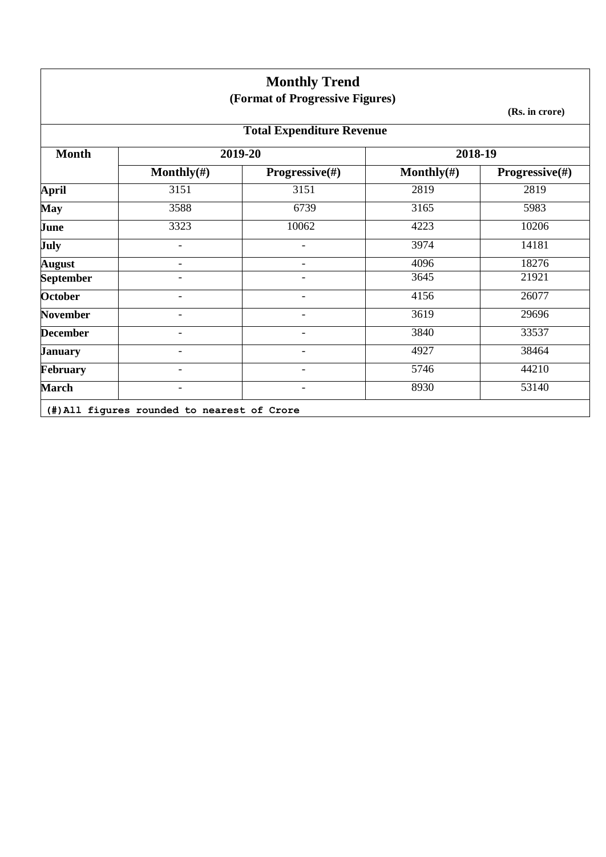|                  |                          | <b>Monthly Trend</b><br>(Format of Progressive Figures) |                | (Rs. in crore)            |
|------------------|--------------------------|---------------------------------------------------------|----------------|---------------------------|
|                  |                          | <b>Total Expenditure Revenue</b>                        |                |                           |
| <b>Month</b>     |                          | 2019-20                                                 | 2018-19        |                           |
|                  | Monthly $(\#)$           | <b>Progressive</b> $(\#)$                               | Monthly $(\#)$ | <b>Progressive</b> $(\#)$ |
| <b>April</b>     | 3151                     | 3151                                                    | 2819           | 2819                      |
| <b>May</b>       | 3588                     | 6739                                                    | 3165           | 5983                      |
| June             | 3323                     | 10062                                                   | 4223           | 10206                     |
| July             | $\blacksquare$           | ۳                                                       | 3974           | 14181                     |
| <b>August</b>    | $\blacksquare$           | $\overline{\phantom{0}}$                                | 4096           | 18276                     |
| <b>September</b> | $\overline{\phantom{0}}$ | $\overline{\phantom{0}}$                                | 3645           | 21921                     |
| <b>October</b>   | $\overline{\phantom{0}}$ | $\overline{\phantom{0}}$                                | 4156           | 26077                     |
| <b>November</b>  | $\overline{\phantom{0}}$ | $\overline{\phantom{0}}$                                | 3619           | 29696                     |
| <b>December</b>  | $\overline{\phantom{0}}$ |                                                         | 3840           | 33537                     |
| <b>January</b>   |                          |                                                         | 4927           | 38464                     |
| February         |                          |                                                         | 5746           | 44210                     |
| <b>March</b>     |                          |                                                         | 8930           | 53140                     |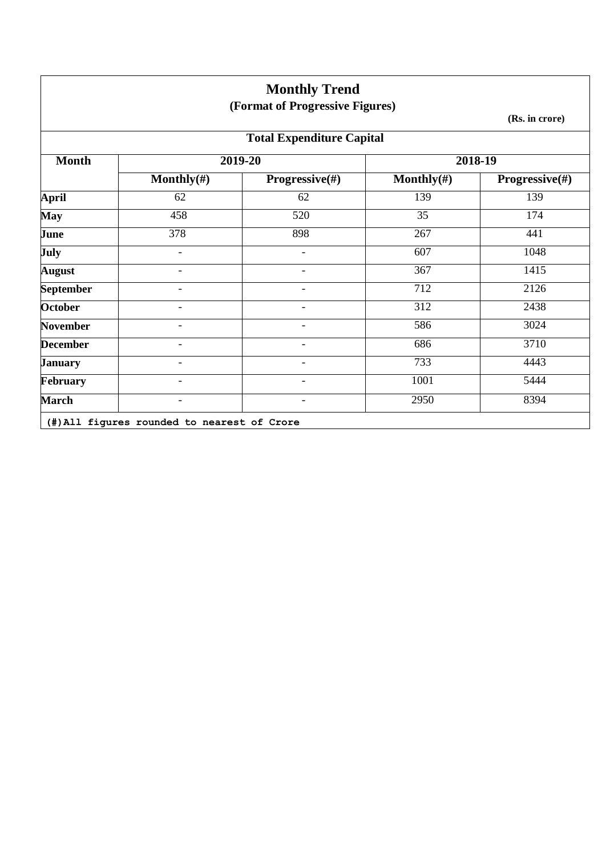|                                  |                          | <b>Monthly Trend</b><br>(Format of Progressive Figures) |                |                           |  |
|----------------------------------|--------------------------|---------------------------------------------------------|----------------|---------------------------|--|
|                                  |                          |                                                         |                | (Rs. in crore)            |  |
| <b>Total Expenditure Capital</b> |                          |                                                         |                |                           |  |
| <b>Month</b>                     |                          | 2019-20                                                 |                | 2018-19                   |  |
|                                  | Monthly $(\#)$           | Progressive(#)                                          | Monthly $(\#)$ | <b>Progressive</b> $(\#)$ |  |
| <b>April</b>                     | 62                       | 62                                                      | 139            | 139                       |  |
| May                              | 458                      | 520                                                     | 35             | 174                       |  |
| June                             | 378                      | 898                                                     | 267            | 441                       |  |
| July                             | $\blacksquare$           |                                                         | 607            | 1048                      |  |
| <b>August</b>                    | $\overline{\phantom{a}}$ | $\blacksquare$                                          | 367            | 1415                      |  |
| <b>September</b>                 | $\overline{\phantom{0}}$ | $\overline{\phantom{a}}$                                | 712            | 2126                      |  |
| <b>October</b>                   |                          |                                                         | 312            | 2438                      |  |
| <b>November</b>                  |                          |                                                         | 586            | 3024                      |  |
| <b>December</b>                  |                          |                                                         | 686            | 3710                      |  |
| <b>January</b>                   |                          |                                                         | 733            | 4443                      |  |
| February                         |                          |                                                         | 1001           | 5444                      |  |
| <b>March</b>                     |                          |                                                         | 2950           | 8394                      |  |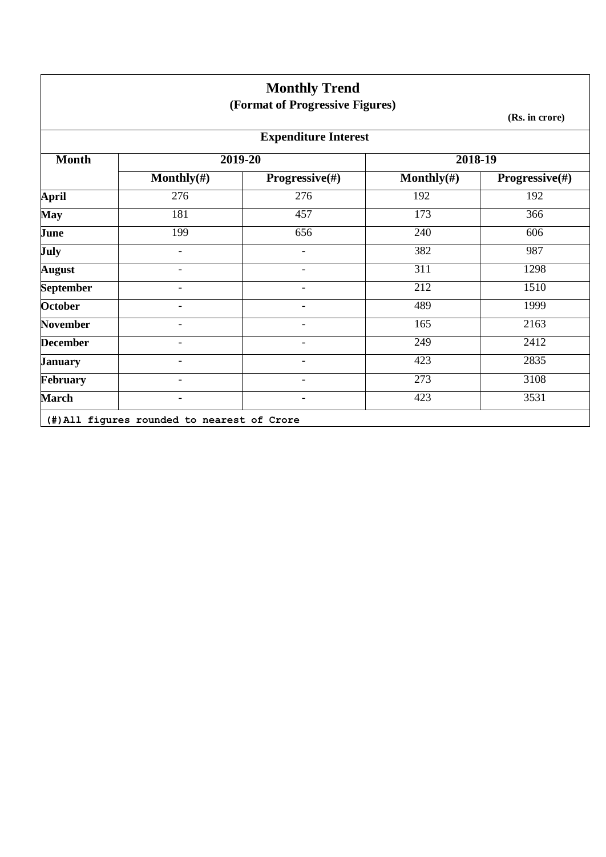|                  |                          | <b>Monthly Trend</b><br>(Format of Progressive Figures) |                |                |
|------------------|--------------------------|---------------------------------------------------------|----------------|----------------|
|                  |                          |                                                         |                | (Rs. in crore) |
|                  |                          | <b>Expenditure Interest</b>                             |                |                |
| <b>Month</b>     |                          | 2019-20                                                 | $2018 - 19$    |                |
|                  | Monthly $(\#)$           | Progressive(#)                                          | Monthly $(\#)$ | Progressive(#) |
| <b>April</b>     | 276                      | 276                                                     | 192            | 192            |
| <b>May</b>       | 181                      | 457                                                     | 173            | 366            |
| June             | 199                      | 656                                                     | 240            | 606            |
| <b>July</b>      | $\overline{\phantom{a}}$ | $\overline{\phantom{a}}$                                | 382            | 987            |
| <b>August</b>    | $\overline{\phantom{a}}$ | $\overline{\phantom{a}}$                                | 311            | 1298           |
| <b>September</b> | $\overline{\phantom{a}}$ | $\overline{\phantom{a}}$                                | 212            | 1510           |
| <b>October</b>   | $\overline{\phantom{0}}$ | $\overline{\phantom{a}}$                                | 489            | 1999           |
| <b>November</b>  |                          |                                                         | 165            | 2163           |
| <b>December</b>  |                          |                                                         | 249            | 2412           |
| <b>January</b>   |                          |                                                         | 423            | 2835           |
| <b>February</b>  |                          |                                                         | 273            | 3108           |
| <b>March</b>     |                          |                                                         | 423            | 3531           |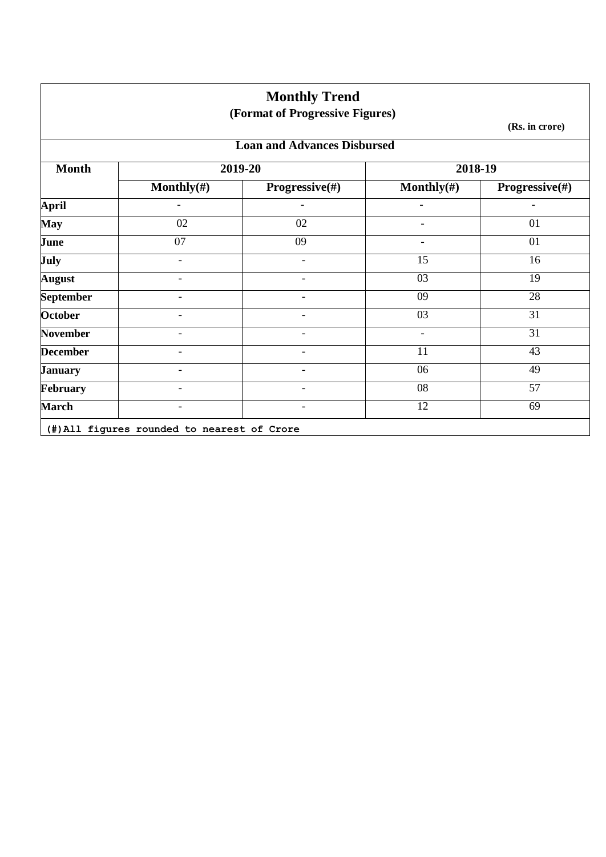|                                    |                              | <b>Monthly Trend</b>            |                          |                           |  |  |
|------------------------------------|------------------------------|---------------------------------|--------------------------|---------------------------|--|--|
|                                    |                              | (Format of Progressive Figures) |                          | (Rs. in crore)            |  |  |
| <b>Loan and Advances Disbursed</b> |                              |                                 |                          |                           |  |  |
| <b>Month</b>                       |                              | 2019-20                         | 2018-19                  |                           |  |  |
|                                    | Monthly $(\#)$               | Progressive(#)                  | Monthly $(\#)$           | <b>Progressive</b> $(\#)$ |  |  |
| <b>April</b>                       | $\overline{\phantom{a}}$     |                                 | $\overline{\phantom{a}}$ | $\blacksquare$            |  |  |
| <b>May</b>                         | 02                           | 02                              | $\overline{\phantom{a}}$ | 01                        |  |  |
| June                               | 07                           | 09                              | $\overline{\phantom{a}}$ | 01                        |  |  |
| <b>July</b>                        | ۳                            | $\overline{a}$                  | 15                       | 16                        |  |  |
| <b>August</b>                      | $\overline{\phantom{0}}$     | $\overline{a}$                  | 03                       | 19                        |  |  |
| <b>September</b>                   | $\qquad \qquad \blacksquare$ | $\overline{a}$                  | 09                       | 28                        |  |  |
| <b>October</b>                     | $\qquad \qquad \blacksquare$ |                                 | 03                       | 31                        |  |  |
| <b>November</b>                    | $\qquad \qquad \blacksquare$ |                                 | $\overline{\phantom{a}}$ | 31                        |  |  |
| <b>December</b>                    |                              |                                 | 11                       | 43                        |  |  |
| <b>January</b>                     |                              |                                 | 06                       | 49                        |  |  |
| February                           |                              |                                 | 08                       | 57                        |  |  |
| <b>March</b>                       |                              |                                 | 12                       | 69                        |  |  |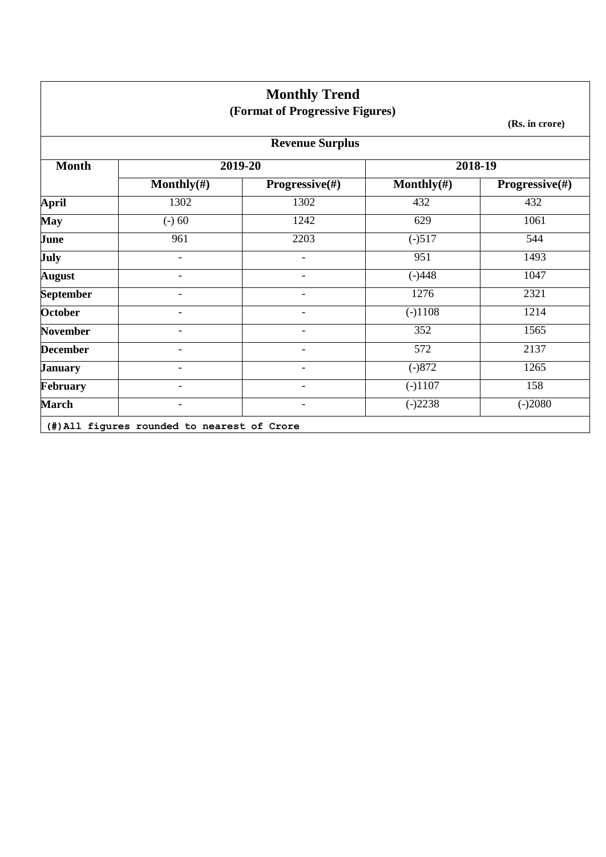|                  |                          | <b>Monthly Trend</b><br>(Format of Progressive Figures) |                |                           |
|------------------|--------------------------|---------------------------------------------------------|----------------|---------------------------|
|                  |                          |                                                         |                | (Rs. in crore)            |
|                  |                          | <b>Revenue Surplus</b>                                  |                |                           |
| <b>Month</b>     |                          | 2019-20                                                 |                | 2018-19                   |
|                  | Monthly $(\#)$           | <b>Progressive</b> $(\#)$                               | Monthly $(\#)$ | <b>Progressive</b> $(\#)$ |
| <b>April</b>     | 1302                     | 1302                                                    | 432            | 432                       |
| <b>May</b>       | $(-) 60$                 | 1242                                                    | 629            | 1061                      |
| June             | 961                      | 2203                                                    | $(-)517$       | 544                       |
| July             | $\overline{\phantom{0}}$ |                                                         | 951            | 1493                      |
| <b>August</b>    | $\overline{\phantom{a}}$ | $\overline{\phantom{0}}$                                | $(-)448$       | 1047                      |
| <b>September</b> |                          |                                                         | 1276           | 2321                      |
| <b>October</b>   |                          |                                                         | $(-)1108$      | 1214                      |
| <b>November</b>  |                          |                                                         | 352            | 1565                      |
| <b>December</b>  |                          |                                                         | 572            | 2137                      |
| <b>January</b>   |                          |                                                         | $(-)872$       | 1265                      |
| February         |                          |                                                         | $(-)1107$      | 158                       |
| <b>March</b>     |                          |                                                         | $(-)2238$      | $(-)2080$                 |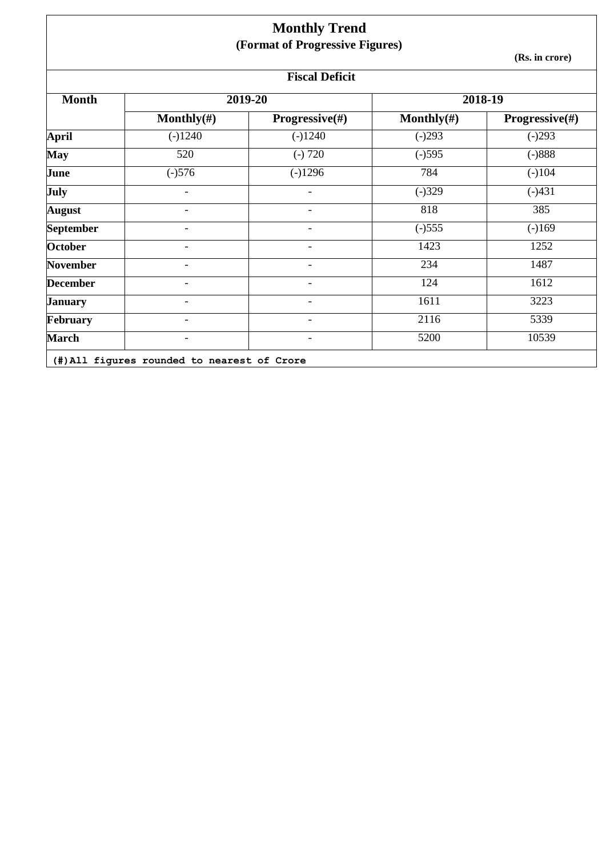| <b>Monthly Trend</b><br>(Format of Progressive Figures) |                          |                           |                |                           |  |  |  |  |  |
|---------------------------------------------------------|--------------------------|---------------------------|----------------|---------------------------|--|--|--|--|--|
|                                                         |                          | (Rs. in crore)            |                |                           |  |  |  |  |  |
| <b>Fiscal Deficit</b>                                   |                          |                           |                |                           |  |  |  |  |  |
| <b>Month</b>                                            |                          | 2019-20                   | 2018-19        |                           |  |  |  |  |  |
|                                                         | Monthly $(\#)$           | <b>Progressive</b> $(\#)$ | Monthly $(\#)$ | <b>Progressive</b> $(\#)$ |  |  |  |  |  |
| <b>April</b>                                            | $(-)1240$                | $(-)1240$                 | $(-)293$       | $(-)293$                  |  |  |  |  |  |
| <b>May</b>                                              | 520                      | $(-) 720$                 | $\sqrt{-1595}$ | $(-)888$                  |  |  |  |  |  |
| June                                                    | $\sqrt{-1576}$           | $(-)1296$                 | 784            | $(-)104$                  |  |  |  |  |  |
| July                                                    | $\overline{\phantom{a}}$ |                           | $(-)329$       | $(-)431$                  |  |  |  |  |  |
| <b>August</b>                                           | $\overline{\phantom{a}}$ | $\overline{\phantom{0}}$  | 818            | 385                       |  |  |  |  |  |
| <b>September</b>                                        | $\overline{\phantom{a}}$ | $\overline{\phantom{0}}$  | $(-)555$       | $(-)169$                  |  |  |  |  |  |
| <b>October</b>                                          | $\overline{\phantom{a}}$ | $\overline{\phantom{0}}$  | 1423           | 1252                      |  |  |  |  |  |
| <b>November</b>                                         |                          |                           | 234            | 1487                      |  |  |  |  |  |
| <b>December</b>                                         | $\overline{\phantom{0}}$ | -                         | 124            | 1612                      |  |  |  |  |  |
| <b>January</b>                                          | $\overline{\phantom{0}}$ | $\overline{\phantom{0}}$  | 1611           | 3223                      |  |  |  |  |  |
| <b>February</b>                                         |                          |                           | 2116           | 5339                      |  |  |  |  |  |
| <b>March</b>                                            |                          |                           | 5200           | 10539                     |  |  |  |  |  |